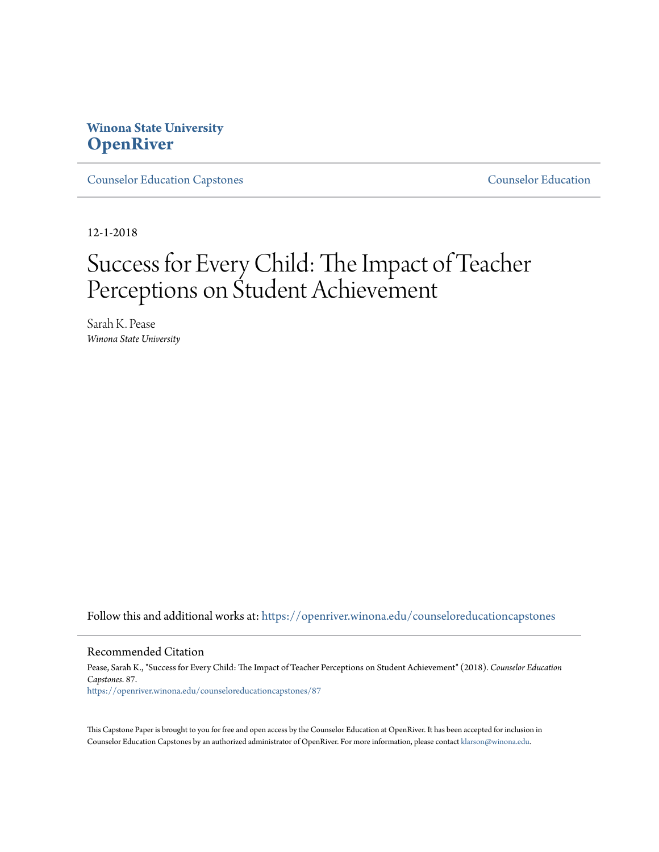# **Winona State University [OpenRiver](https://openriver.winona.edu?utm_source=openriver.winona.edu%2Fcounseloreducationcapstones%2F87&utm_medium=PDF&utm_campaign=PDFCoverPages)**

[Counselor Education Capstones](https://openriver.winona.edu/counseloreducationcapstones?utm_source=openriver.winona.edu%2Fcounseloreducationcapstones%2F87&utm_medium=PDF&utm_campaign=PDFCoverPages) [Counselor Education](https://openriver.winona.edu/counseloreducation?utm_source=openriver.winona.edu%2Fcounseloreducationcapstones%2F87&utm_medium=PDF&utm_campaign=PDFCoverPages)

12-1-2018

# Success for Every Child: The Impact of Teacher Perceptions on Student Achievement

Sarah K. Pease *Winona State University*

Follow this and additional works at: [https://openriver.winona.edu/counseloreducationcapstones](https://openriver.winona.edu/counseloreducationcapstones?utm_source=openriver.winona.edu%2Fcounseloreducationcapstones%2F87&utm_medium=PDF&utm_campaign=PDFCoverPages)

#### Recommended Citation

Pease, Sarah K., "Success for Every Child: The Impact of Teacher Perceptions on Student Achievement" (2018). *Counselor Education Capstones*. 87. [https://openriver.winona.edu/counseloreducationcapstones/87](https://openriver.winona.edu/counseloreducationcapstones/87?utm_source=openriver.winona.edu%2Fcounseloreducationcapstones%2F87&utm_medium=PDF&utm_campaign=PDFCoverPages)

This Capstone Paper is brought to you for free and open access by the Counselor Education at OpenRiver. It has been accepted for inclusion in Counselor Education Capstones by an authorized administrator of OpenRiver. For more information, please contact [klarson@winona.edu](mailto:klarson@winona.edu).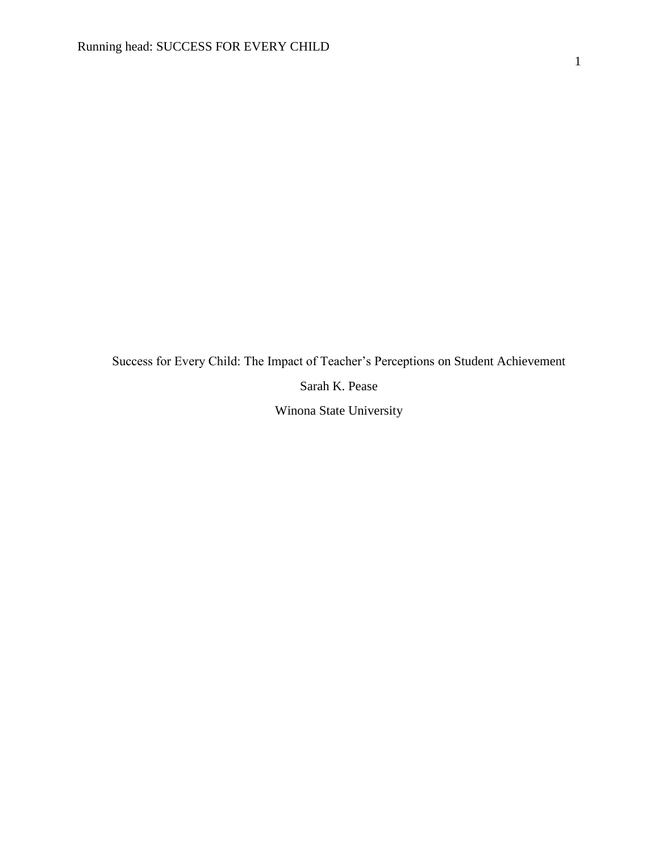Success for Every Child: The Impact of Teacher's Perceptions on Student Achievement Sarah K. Pease Winona State University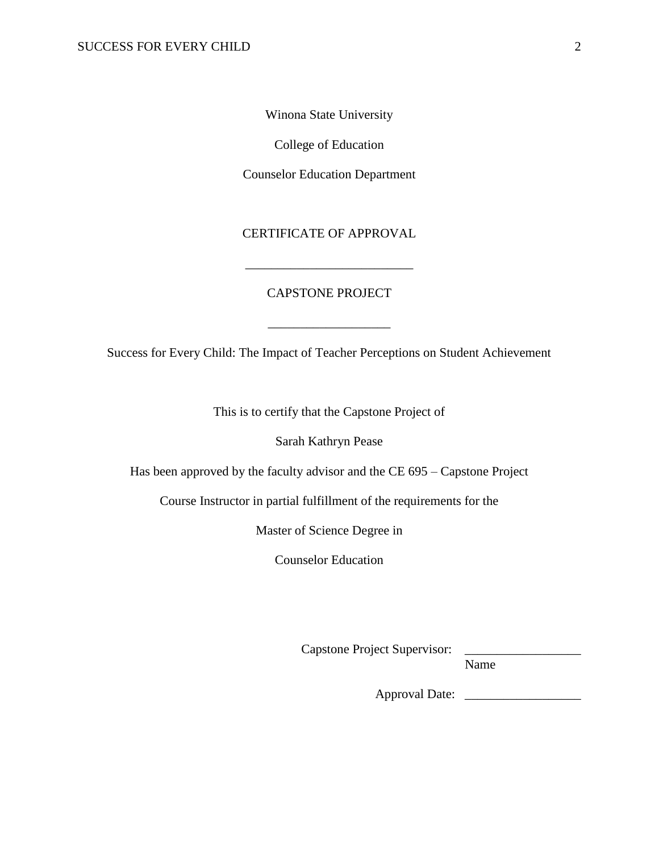Winona State University

College of Education

Counselor Education Department

# CERTIFICATE OF APPROVAL

\_\_\_\_\_\_\_\_\_\_\_\_\_\_\_\_\_\_\_\_\_\_\_\_\_\_

# CAPSTONE PROJECT

Success for Every Child: The Impact of Teacher Perceptions on Student Achievement

\_\_\_\_\_\_\_\_\_\_\_\_\_\_\_\_\_\_\_

This is to certify that the Capstone Project of

Sarah Kathryn Pease

Has been approved by the faculty advisor and the CE 695 – Capstone Project

Course Instructor in partial fulfillment of the requirements for the

Master of Science Degree in

Counselor Education

Capstone Project Supervisor:

Name

Approval Date: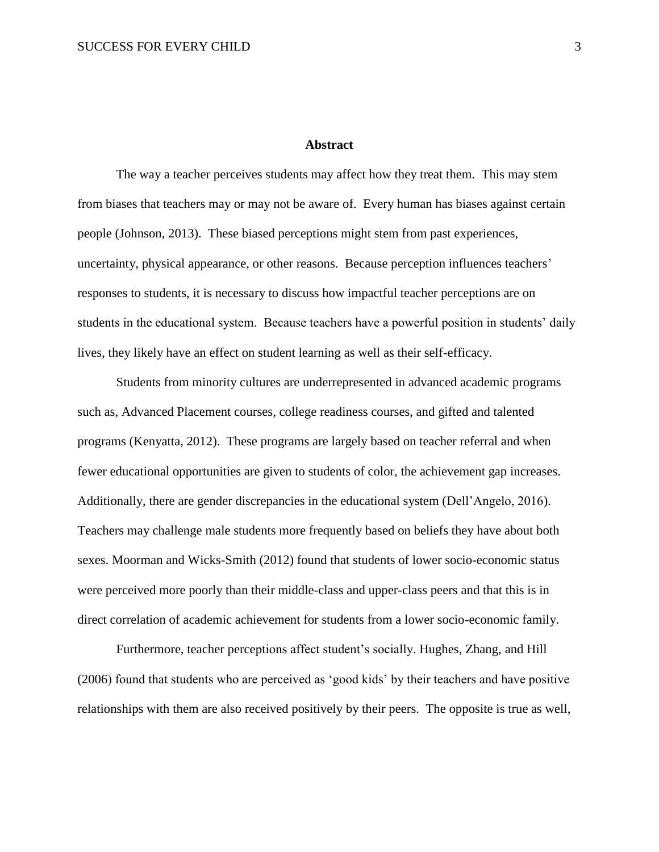# **Abstract**

The way a teacher perceives students may affect how they treat them. This may stem from biases that teachers may or may not be aware of. Every human has biases against certain people (Johnson, 2013). These biased perceptions might stem from past experiences, uncertainty, physical appearance, or other reasons. Because perception influences teachers' responses to students, it is necessary to discuss how impactful teacher perceptions are on students in the educational system. Because teachers have a powerful position in students' daily lives, they likely have an effect on student learning as well as their self-efficacy.

Students from minority cultures are underrepresented in advanced academic programs such as, Advanced Placement courses, college readiness courses, and gifted and talented programs (Kenyatta, 2012). These programs are largely based on teacher referral and when fewer educational opportunities are given to students of color, the achievement gap increases. Additionally, there are gender discrepancies in the educational system (Dell'Angelo, 2016). Teachers may challenge male students more frequently based on beliefs they have about both sexes. Moorman and Wicks-Smith (2012) found that students of lower socio-economic status were perceived more poorly than their middle-class and upper-class peers and that this is in direct correlation of academic achievement for students from a lower socio-economic family.

Furthermore, teacher perceptions affect student's socially. Hughes, Zhang, and Hill (2006) found that students who are perceived as 'good kids' by their teachers and have positive relationships with them are also received positively by their peers. The opposite is true as well,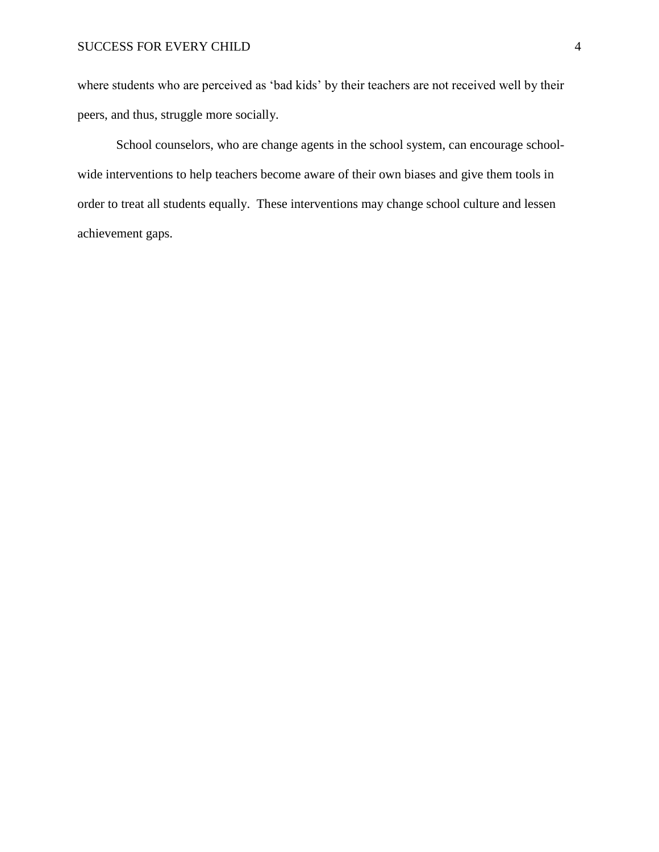# SUCCESS FOR EVERY CHILD 4

where students who are perceived as 'bad kids' by their teachers are not received well by their peers, and thus, struggle more socially.

School counselors, who are change agents in the school system, can encourage schoolwide interventions to help teachers become aware of their own biases and give them tools in order to treat all students equally. These interventions may change school culture and lessen achievement gaps.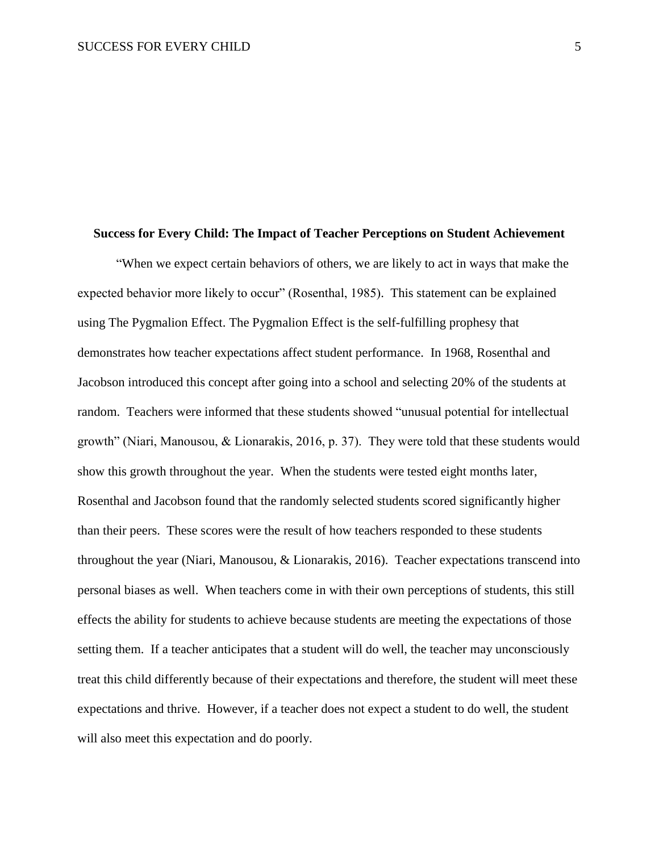#### **Success for Every Child: The Impact of Teacher Perceptions on Student Achievement**

"When we expect certain behaviors of others, we are likely to act in ways that make the expected behavior more likely to occur" (Rosenthal, 1985). This statement can be explained using The Pygmalion Effect. The Pygmalion Effect is the self-fulfilling prophesy that demonstrates how teacher expectations affect student performance. In 1968, Rosenthal and Jacobson introduced this concept after going into a school and selecting 20% of the students at random. Teachers were informed that these students showed "unusual potential for intellectual growth" (Niari, Manousou, & Lionarakis, 2016, p. 37). They were told that these students would show this growth throughout the year. When the students were tested eight months later, Rosenthal and Jacobson found that the randomly selected students scored significantly higher than their peers. These scores were the result of how teachers responded to these students throughout the year (Niari, Manousou, & Lionarakis, 2016). Teacher expectations transcend into personal biases as well. When teachers come in with their own perceptions of students, this still effects the ability for students to achieve because students are meeting the expectations of those setting them. If a teacher anticipates that a student will do well, the teacher may unconsciously treat this child differently because of their expectations and therefore, the student will meet these expectations and thrive. However, if a teacher does not expect a student to do well, the student will also meet this expectation and do poorly.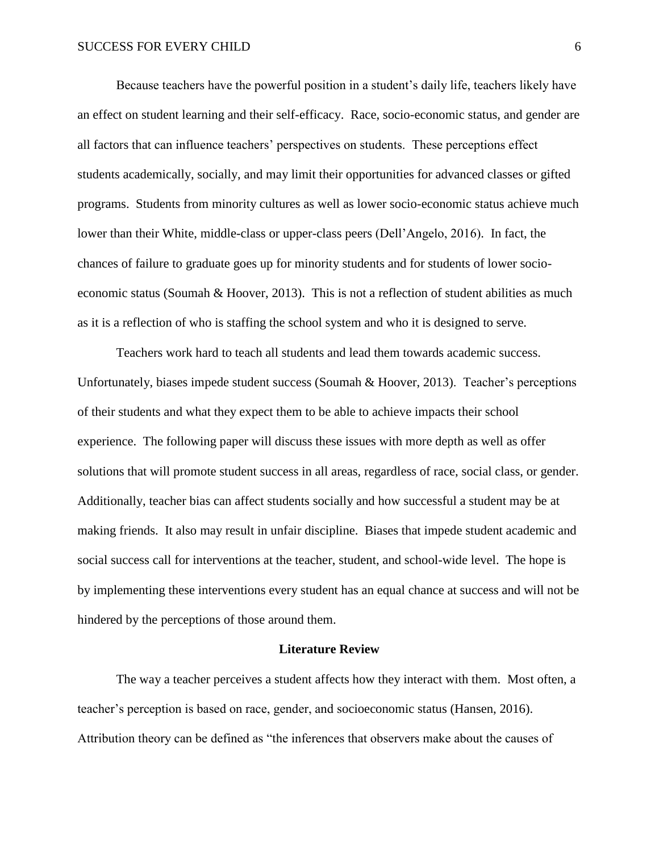Because teachers have the powerful position in a student's daily life, teachers likely have an effect on student learning and their self-efficacy. Race, socio-economic status, and gender are all factors that can influence teachers' perspectives on students. These perceptions effect students academically, socially, and may limit their opportunities for advanced classes or gifted programs. Students from minority cultures as well as lower socio-economic status achieve much lower than their White, middle-class or upper-class peers (Dell'Angelo, 2016). In fact, the chances of failure to graduate goes up for minority students and for students of lower socioeconomic status (Soumah & Hoover, 2013). This is not a reflection of student abilities as much as it is a reflection of who is staffing the school system and who it is designed to serve.

Teachers work hard to teach all students and lead them towards academic success. Unfortunately, biases impede student success (Soumah & Hoover, 2013). Teacher's perceptions of their students and what they expect them to be able to achieve impacts their school experience. The following paper will discuss these issues with more depth as well as offer solutions that will promote student success in all areas, regardless of race, social class, or gender. Additionally, teacher bias can affect students socially and how successful a student may be at making friends. It also may result in unfair discipline. Biases that impede student academic and social success call for interventions at the teacher, student, and school-wide level. The hope is by implementing these interventions every student has an equal chance at success and will not be hindered by the perceptions of those around them.

#### **Literature Review**

The way a teacher perceives a student affects how they interact with them. Most often, a teacher's perception is based on race, gender, and socioeconomic status (Hansen, 2016). Attribution theory can be defined as "the inferences that observers make about the causes of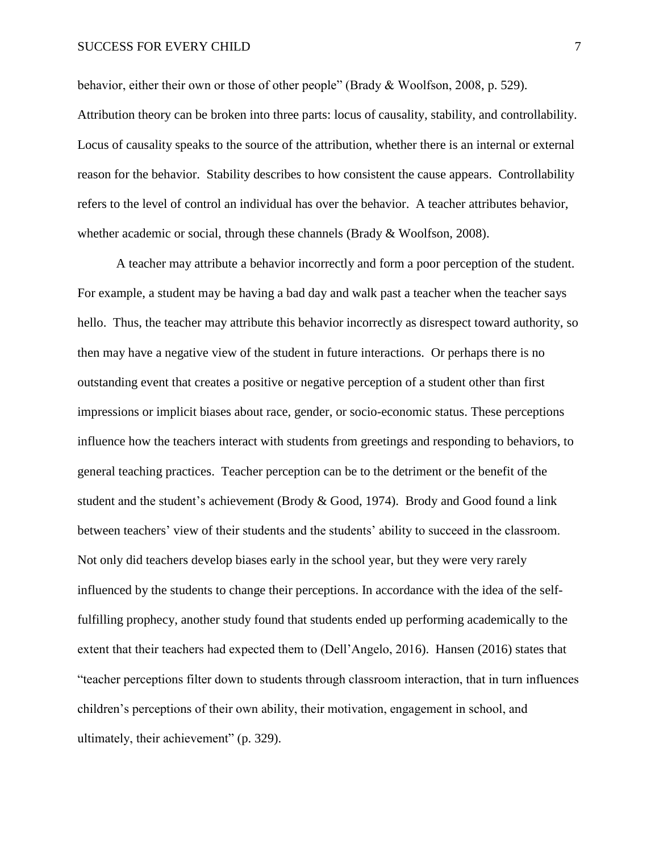# SUCCESS FOR EVERY CHILD 7

behavior, either their own or those of other people" (Brady & Woolfson, 2008, p. 529).

Attribution theory can be broken into three parts: locus of causality, stability, and controllability. Locus of causality speaks to the source of the attribution, whether there is an internal or external reason for the behavior. Stability describes to how consistent the cause appears. Controllability refers to the level of control an individual has over the behavior. A teacher attributes behavior, whether academic or social, through these channels (Brady & Woolfson, 2008).

A teacher may attribute a behavior incorrectly and form a poor perception of the student. For example, a student may be having a bad day and walk past a teacher when the teacher says hello. Thus, the teacher may attribute this behavior incorrectly as disrespect toward authority, so then may have a negative view of the student in future interactions. Or perhaps there is no outstanding event that creates a positive or negative perception of a student other than first impressions or implicit biases about race, gender, or socio-economic status. These perceptions influence how the teachers interact with students from greetings and responding to behaviors, to general teaching practices. Teacher perception can be to the detriment or the benefit of the student and the student's achievement (Brody & Good, 1974). Brody and Good found a link between teachers' view of their students and the students' ability to succeed in the classroom. Not only did teachers develop biases early in the school year, but they were very rarely influenced by the students to change their perceptions. In accordance with the idea of the selffulfilling prophecy, another study found that students ended up performing academically to the extent that their teachers had expected them to (Dell'Angelo, 2016). Hansen (2016) states that "teacher perceptions filter down to students through classroom interaction, that in turn influences children's perceptions of their own ability, their motivation, engagement in school, and ultimately, their achievement" (p. 329).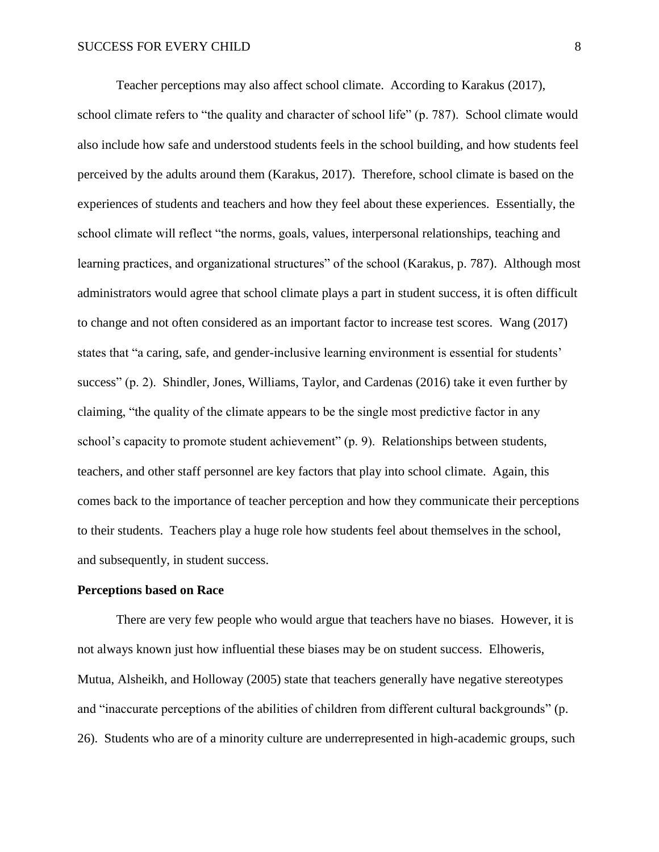Teacher perceptions may also affect school climate. According to Karakus (2017),

school climate refers to "the quality and character of school life" (p. 787). School climate would also include how safe and understood students feels in the school building, and how students feel perceived by the adults around them (Karakus, 2017). Therefore, school climate is based on the experiences of students and teachers and how they feel about these experiences. Essentially, the school climate will reflect "the norms, goals, values, interpersonal relationships, teaching and learning practices, and organizational structures" of the school (Karakus, p. 787). Although most administrators would agree that school climate plays a part in student success, it is often difficult to change and not often considered as an important factor to increase test scores. Wang (2017) states that "a caring, safe, and gender-inclusive learning environment is essential for students' success" (p. 2). Shindler, Jones, Williams, Taylor, and Cardenas (2016) take it even further by claiming, "the quality of the climate appears to be the single most predictive factor in any school's capacity to promote student achievement" (p. 9). Relationships between students, teachers, and other staff personnel are key factors that play into school climate. Again, this comes back to the importance of teacher perception and how they communicate their perceptions to their students. Teachers play a huge role how students feel about themselves in the school, and subsequently, in student success.

# **Perceptions based on Race**

There are very few people who would argue that teachers have no biases. However, it is not always known just how influential these biases may be on student success. Elhoweris, Mutua, Alsheikh, and Holloway (2005) state that teachers generally have negative stereotypes and "inaccurate perceptions of the abilities of children from different cultural backgrounds" (p. 26). Students who are of a minority culture are underrepresented in high-academic groups, such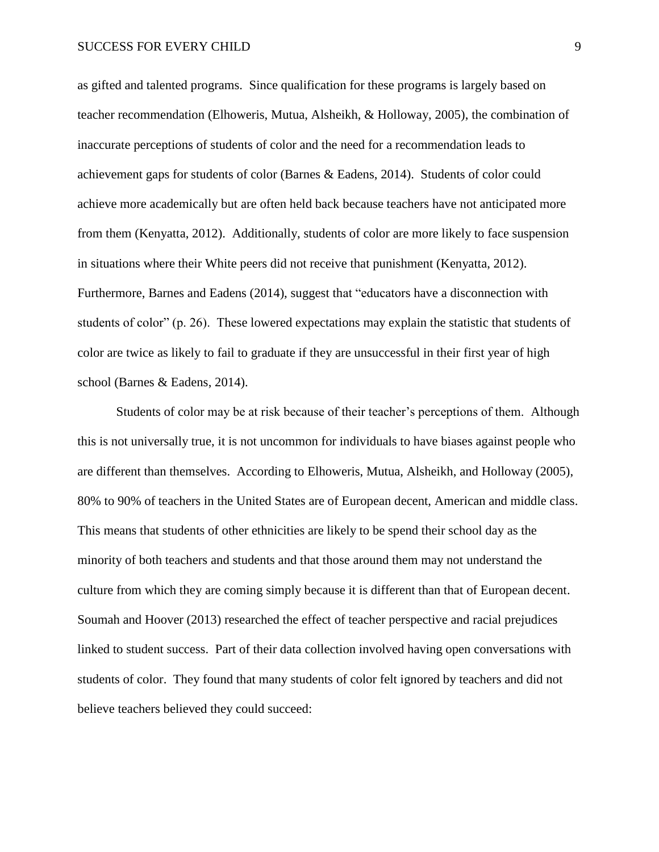as gifted and talented programs. Since qualification for these programs is largely based on teacher recommendation (Elhoweris, Mutua, Alsheikh, & Holloway, 2005), the combination of inaccurate perceptions of students of color and the need for a recommendation leads to achievement gaps for students of color (Barnes & Eadens, 2014). Students of color could achieve more academically but are often held back because teachers have not anticipated more from them (Kenyatta, 2012). Additionally, students of color are more likely to face suspension in situations where their White peers did not receive that punishment (Kenyatta, 2012). Furthermore, Barnes and Eadens (2014), suggest that "educators have a disconnection with students of color" (p. 26). These lowered expectations may explain the statistic that students of color are twice as likely to fail to graduate if they are unsuccessful in their first year of high school (Barnes & Eadens, 2014).

Students of color may be at risk because of their teacher's perceptions of them. Although this is not universally true, it is not uncommon for individuals to have biases against people who are different than themselves. According to Elhoweris, Mutua, Alsheikh, and Holloway (2005), 80% to 90% of teachers in the United States are of European decent, American and middle class. This means that students of other ethnicities are likely to be spend their school day as the minority of both teachers and students and that those around them may not understand the culture from which they are coming simply because it is different than that of European decent. Soumah and Hoover (2013) researched the effect of teacher perspective and racial prejudices linked to student success. Part of their data collection involved having open conversations with students of color. They found that many students of color felt ignored by teachers and did not believe teachers believed they could succeed: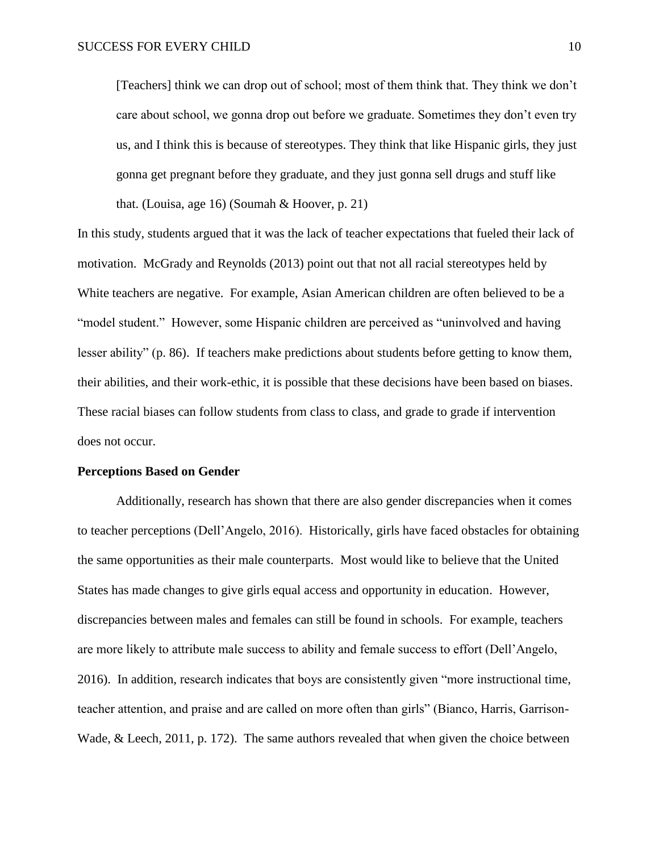[Teachers] think we can drop out of school; most of them think that. They think we don't care about school, we gonna drop out before we graduate. Sometimes they don't even try us, and I think this is because of stereotypes. They think that like Hispanic girls, they just gonna get pregnant before they graduate, and they just gonna sell drugs and stuff like that. (Louisa, age 16) (Soumah  $&$  Hoover, p. 21)

In this study, students argued that it was the lack of teacher expectations that fueled their lack of motivation. McGrady and Reynolds (2013) point out that not all racial stereotypes held by White teachers are negative. For example, Asian American children are often believed to be a "model student." However, some Hispanic children are perceived as "uninvolved and having lesser ability" (p. 86). If teachers make predictions about students before getting to know them, their abilities, and their work-ethic, it is possible that these decisions have been based on biases. These racial biases can follow students from class to class, and grade to grade if intervention does not occur.

#### **Perceptions Based on Gender**

Additionally, research has shown that there are also gender discrepancies when it comes to teacher perceptions (Dell'Angelo, 2016). Historically, girls have faced obstacles for obtaining the same opportunities as their male counterparts. Most would like to believe that the United States has made changes to give girls equal access and opportunity in education. However, discrepancies between males and females can still be found in schools. For example, teachers are more likely to attribute male success to ability and female success to effort (Dell'Angelo, 2016). In addition, research indicates that boys are consistently given "more instructional time, teacher attention, and praise and are called on more often than girls" (Bianco, Harris, Garrison-Wade, & Leech, 2011, p. 172). The same authors revealed that when given the choice between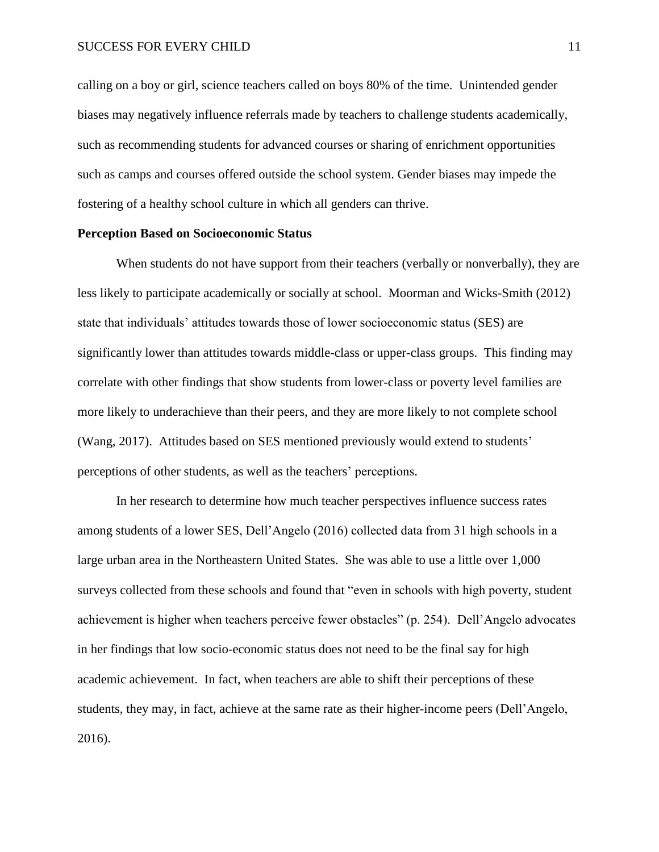calling on a boy or girl, science teachers called on boys 80% of the time. Unintended gender biases may negatively influence referrals made by teachers to challenge students academically, such as recommending students for advanced courses or sharing of enrichment opportunities such as camps and courses offered outside the school system. Gender biases may impede the fostering of a healthy school culture in which all genders can thrive.

### **Perception Based on Socioeconomic Status**

When students do not have support from their teachers (verbally or nonverbally), they are less likely to participate academically or socially at school. Moorman and Wicks-Smith (2012) state that individuals' attitudes towards those of lower socioeconomic status (SES) are significantly lower than attitudes towards middle-class or upper-class groups. This finding may correlate with other findings that show students from lower-class or poverty level families are more likely to underachieve than their peers, and they are more likely to not complete school (Wang, 2017). Attitudes based on SES mentioned previously would extend to students' perceptions of other students, as well as the teachers' perceptions.

In her research to determine how much teacher perspectives influence success rates among students of a lower SES, Dell'Angelo (2016) collected data from 31 high schools in a large urban area in the Northeastern United States. She was able to use a little over 1,000 surveys collected from these schools and found that "even in schools with high poverty, student achievement is higher when teachers perceive fewer obstacles" (p. 254). Dell'Angelo advocates in her findings that low socio-economic status does not need to be the final say for high academic achievement. In fact, when teachers are able to shift their perceptions of these students, they may, in fact, achieve at the same rate as their higher-income peers (Dell'Angelo, 2016).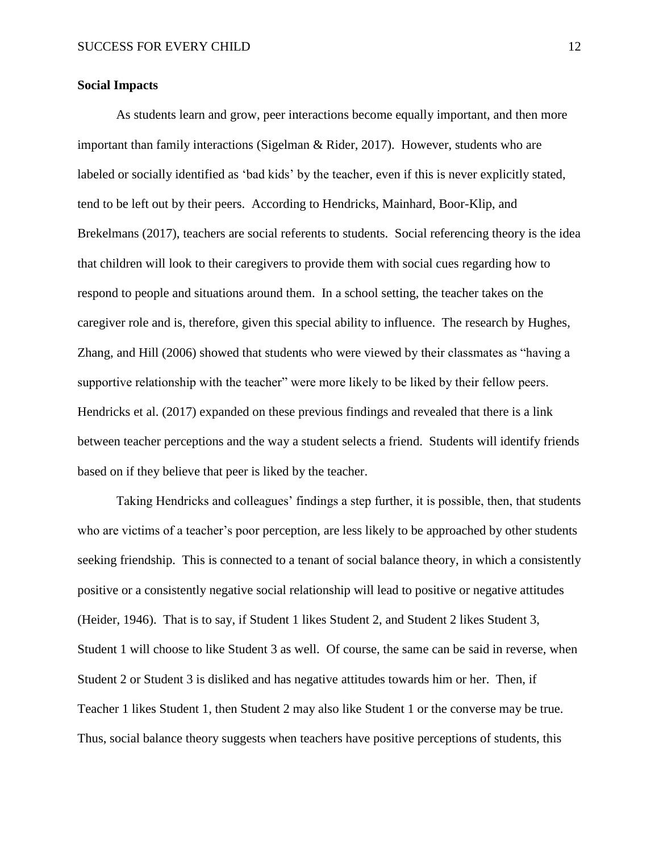# **Social Impacts**

As students learn and grow, peer interactions become equally important, and then more important than family interactions (Sigelman & Rider, 2017). However, students who are labeled or socially identified as 'bad kids' by the teacher, even if this is never explicitly stated, tend to be left out by their peers. According to Hendricks, Mainhard, Boor-Klip, and Brekelmans (2017), teachers are social referents to students. Social referencing theory is the idea that children will look to their caregivers to provide them with social cues regarding how to respond to people and situations around them. In a school setting, the teacher takes on the caregiver role and is, therefore, given this special ability to influence. The research by Hughes, Zhang, and Hill (2006) showed that students who were viewed by their classmates as "having a supportive relationship with the teacher" were more likely to be liked by their fellow peers. Hendricks et al. (2017) expanded on these previous findings and revealed that there is a link between teacher perceptions and the way a student selects a friend. Students will identify friends based on if they believe that peer is liked by the teacher.

Taking Hendricks and colleagues' findings a step further, it is possible, then, that students who are victims of a teacher's poor perception, are less likely to be approached by other students seeking friendship. This is connected to a tenant of social balance theory, in which a consistently positive or a consistently negative social relationship will lead to positive or negative attitudes (Heider, 1946). That is to say, if Student 1 likes Student 2, and Student 2 likes Student 3, Student 1 will choose to like Student 3 as well. Of course, the same can be said in reverse, when Student 2 or Student 3 is disliked and has negative attitudes towards him or her. Then, if Teacher 1 likes Student 1, then Student 2 may also like Student 1 or the converse may be true. Thus, social balance theory suggests when teachers have positive perceptions of students, this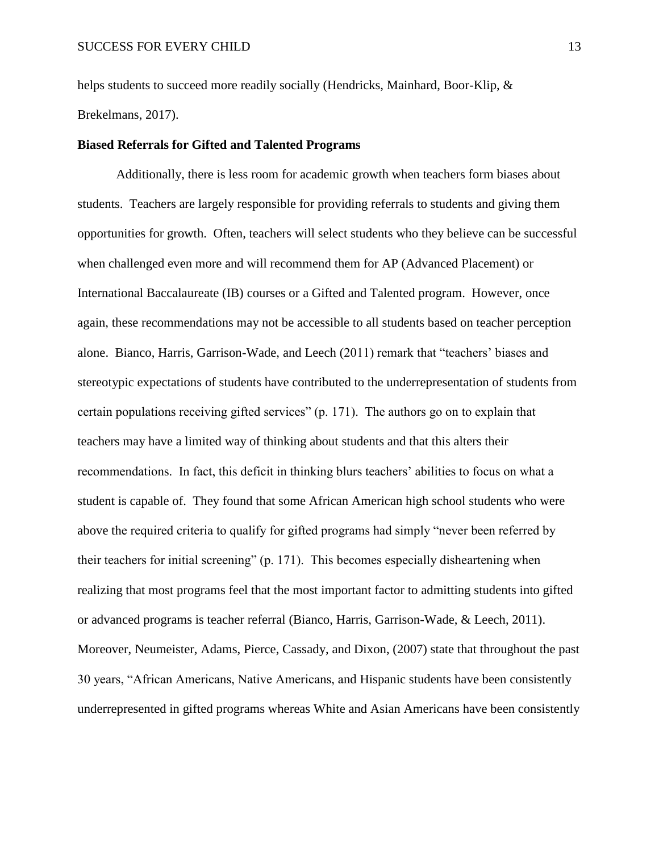helps students to succeed more readily socially (Hendricks, Mainhard, Boor-Klip,  $\&$ Brekelmans, 2017).

# **Biased Referrals for Gifted and Talented Programs**

Additionally, there is less room for academic growth when teachers form biases about students. Teachers are largely responsible for providing referrals to students and giving them opportunities for growth. Often, teachers will select students who they believe can be successful when challenged even more and will recommend them for AP (Advanced Placement) or International Baccalaureate (IB) courses or a Gifted and Talented program. However, once again, these recommendations may not be accessible to all students based on teacher perception alone. Bianco, Harris, Garrison-Wade, and Leech (2011) remark that "teachers' biases and stereotypic expectations of students have contributed to the underrepresentation of students from certain populations receiving gifted services" (p. 171). The authors go on to explain that teachers may have a limited way of thinking about students and that this alters their recommendations. In fact, this deficit in thinking blurs teachers' abilities to focus on what a student is capable of. They found that some African American high school students who were above the required criteria to qualify for gifted programs had simply "never been referred by their teachers for initial screening" (p. 171). This becomes especially disheartening when realizing that most programs feel that the most important factor to admitting students into gifted or advanced programs is teacher referral (Bianco, Harris, Garrison-Wade, & Leech, 2011). Moreover, Neumeister, Adams, Pierce, Cassady, and Dixon, (2007) state that throughout the past 30 years, "African Americans, Native Americans, and Hispanic students have been consistently underrepresented in gifted programs whereas White and Asian Americans have been consistently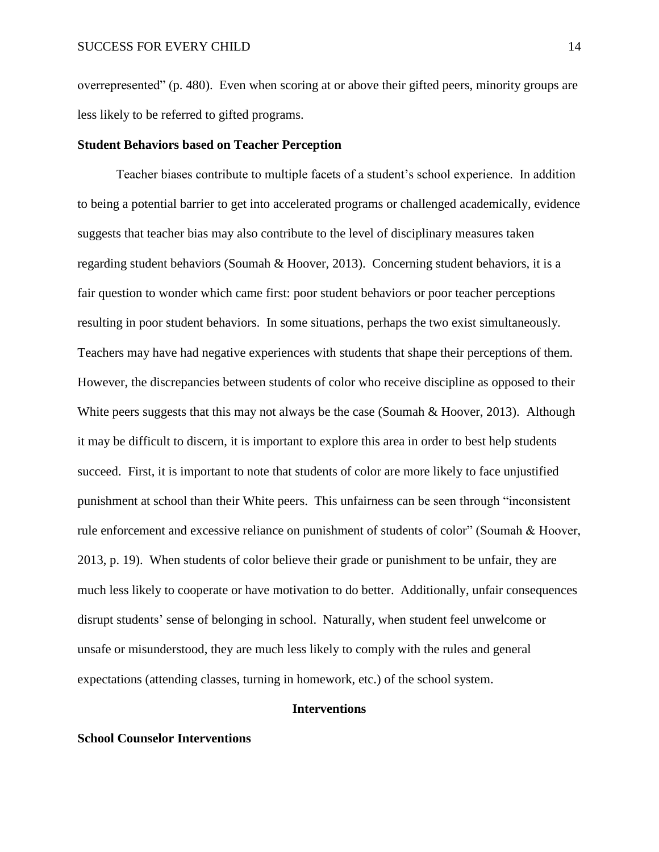overrepresented" (p. 480). Even when scoring at or above their gifted peers, minority groups are less likely to be referred to gifted programs.

#### **Student Behaviors based on Teacher Perception**

Teacher biases contribute to multiple facets of a student's school experience. In addition to being a potential barrier to get into accelerated programs or challenged academically, evidence suggests that teacher bias may also contribute to the level of disciplinary measures taken regarding student behaviors (Soumah & Hoover, 2013). Concerning student behaviors, it is a fair question to wonder which came first: poor student behaviors or poor teacher perceptions resulting in poor student behaviors. In some situations, perhaps the two exist simultaneously. Teachers may have had negative experiences with students that shape their perceptions of them. However, the discrepancies between students of color who receive discipline as opposed to their White peers suggests that this may not always be the case (Soumah & Hoover, 2013). Although it may be difficult to discern, it is important to explore this area in order to best help students succeed. First, it is important to note that students of color are more likely to face unjustified punishment at school than their White peers. This unfairness can be seen through "inconsistent rule enforcement and excessive reliance on punishment of students of color" (Soumah & Hoover, 2013, p. 19). When students of color believe their grade or punishment to be unfair, they are much less likely to cooperate or have motivation to do better. Additionally, unfair consequences disrupt students' sense of belonging in school. Naturally, when student feel unwelcome or unsafe or misunderstood, they are much less likely to comply with the rules and general expectations (attending classes, turning in homework, etc.) of the school system.

# **Interventions**

# **School Counselor Interventions**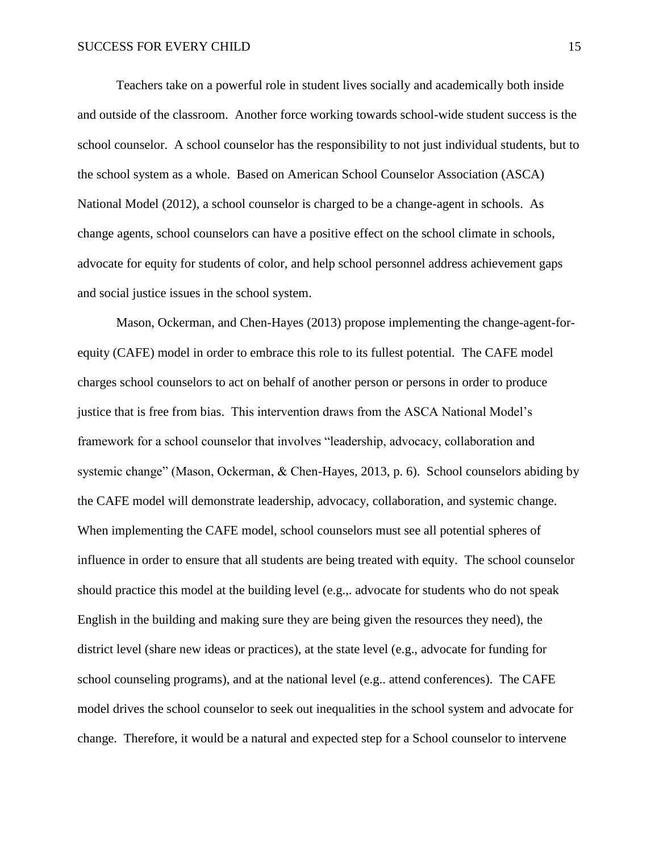Teachers take on a powerful role in student lives socially and academically both inside and outside of the classroom. Another force working towards school-wide student success is the school counselor. A school counselor has the responsibility to not just individual students, but to the school system as a whole. Based on American School Counselor Association (ASCA) National Model (2012), a school counselor is charged to be a change-agent in schools. As change agents, school counselors can have a positive effect on the school climate in schools, advocate for equity for students of color, and help school personnel address achievement gaps and social justice issues in the school system.

Mason, Ockerman, and Chen-Hayes (2013) propose implementing the change-agent-forequity (CAFE) model in order to embrace this role to its fullest potential. The CAFE model charges school counselors to act on behalf of another person or persons in order to produce justice that is free from bias. This intervention draws from the ASCA National Model's framework for a school counselor that involves "leadership, advocacy, collaboration and systemic change" (Mason, Ockerman, & Chen-Hayes, 2013, p. 6). School counselors abiding by the CAFE model will demonstrate leadership, advocacy, collaboration, and systemic change. When implementing the CAFE model, school counselors must see all potential spheres of influence in order to ensure that all students are being treated with equity. The school counselor should practice this model at the building level (e.g.,. advocate for students who do not speak English in the building and making sure they are being given the resources they need), the district level (share new ideas or practices), at the state level (e.g., advocate for funding for school counseling programs), and at the national level (e.g.. attend conferences). The CAFE model drives the school counselor to seek out inequalities in the school system and advocate for change. Therefore, it would be a natural and expected step for a School counselor to intervene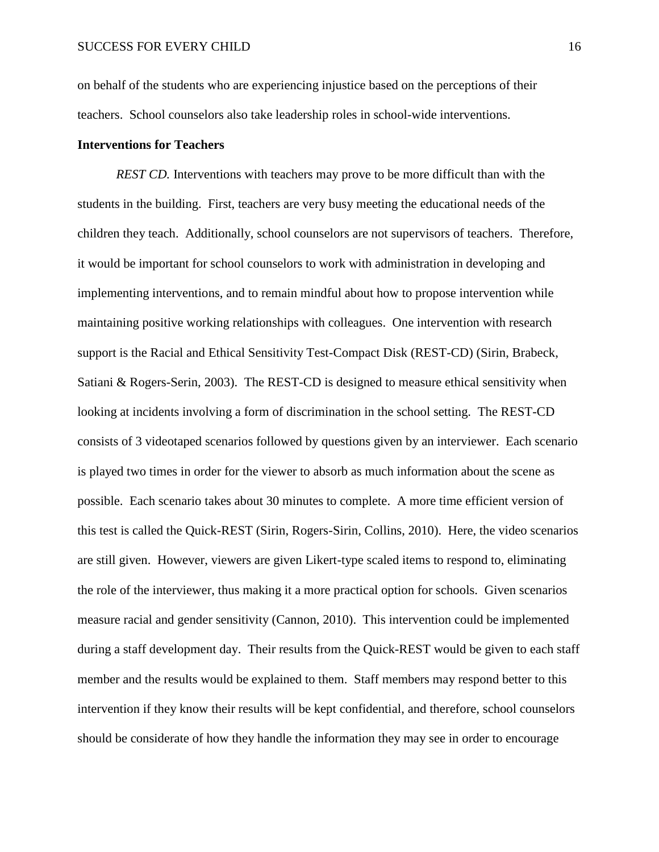on behalf of the students who are experiencing injustice based on the perceptions of their teachers. School counselors also take leadership roles in school-wide interventions.

# **Interventions for Teachers**

*REST CD.* Interventions with teachers may prove to be more difficult than with the students in the building. First, teachers are very busy meeting the educational needs of the children they teach. Additionally, school counselors are not supervisors of teachers. Therefore, it would be important for school counselors to work with administration in developing and implementing interventions, and to remain mindful about how to propose intervention while maintaining positive working relationships with colleagues. One intervention with research support is the Racial and Ethical Sensitivity Test-Compact Disk (REST-CD) (Sirin, Brabeck, Satiani & Rogers-Serin, 2003). The REST-CD is designed to measure ethical sensitivity when looking at incidents involving a form of discrimination in the school setting. The REST-CD consists of 3 videotaped scenarios followed by questions given by an interviewer. Each scenario is played two times in order for the viewer to absorb as much information about the scene as possible. Each scenario takes about 30 minutes to complete. A more time efficient version of this test is called the Quick-REST (Sirin, Rogers-Sirin, Collins, 2010). Here, the video scenarios are still given. However, viewers are given Likert-type scaled items to respond to, eliminating the role of the interviewer, thus making it a more practical option for schools. Given scenarios measure racial and gender sensitivity (Cannon, 2010). This intervention could be implemented during a staff development day. Their results from the Quick-REST would be given to each staff member and the results would be explained to them. Staff members may respond better to this intervention if they know their results will be kept confidential, and therefore, school counselors should be considerate of how they handle the information they may see in order to encourage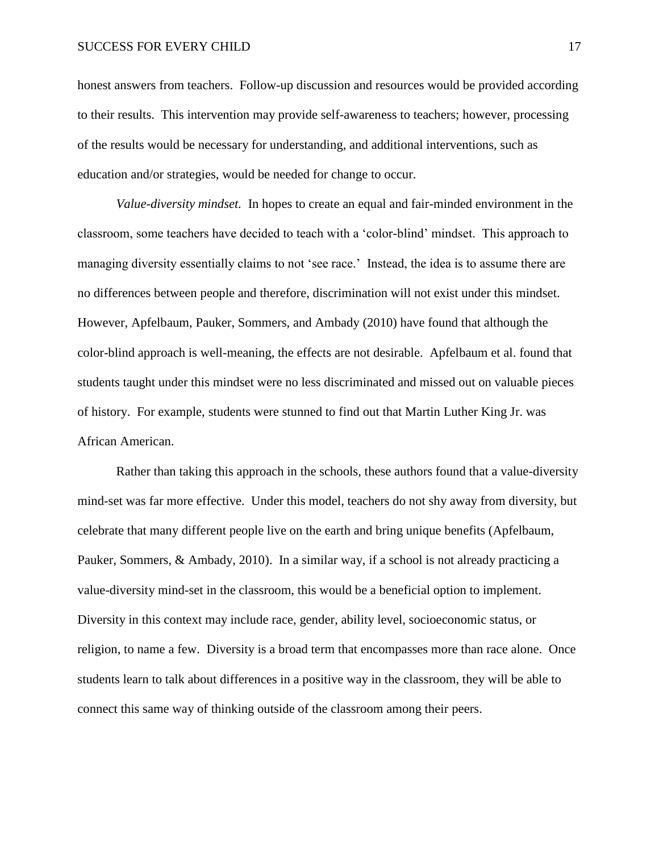honest answers from teachers. Follow-up discussion and resources would be provided according to their results. This intervention may provide self-awareness to teachers; however, processing of the results would be necessary for understanding, and additional interventions, such as education and/or strategies, would be needed for change to occur.

*Value-diversity mindset.* In hopes to create an equal and fair-minded environment in the classroom, some teachers have decided to teach with a 'color-blind' mindset. This approach to managing diversity essentially claims to not 'see race.' Instead, the idea is to assume there are no differences between people and therefore, discrimination will not exist under this mindset. However, Apfelbaum, Pauker, Sommers, and Ambady (2010) have found that although the color-blind approach is well-meaning, the effects are not desirable. Apfelbaum et al. found that students taught under this mindset were no less discriminated and missed out on valuable pieces of history. For example, students were stunned to find out that Martin Luther King Jr. was African American.

Rather than taking this approach in the schools, these authors found that a value-diversity mind-set was far more effective. Under this model, teachers do not shy away from diversity, but celebrate that many different people live on the earth and bring unique benefits (Apfelbaum, Pauker, Sommers, & Ambady, 2010). In a similar way, if a school is not already practicing a value-diversity mind-set in the classroom, this would be a beneficial option to implement. Diversity in this context may include race, gender, ability level, socioeconomic status, or religion, to name a few. Diversity is a broad term that encompasses more than race alone. Once students learn to talk about differences in a positive way in the classroom, they will be able to connect this same way of thinking outside of the classroom among their peers.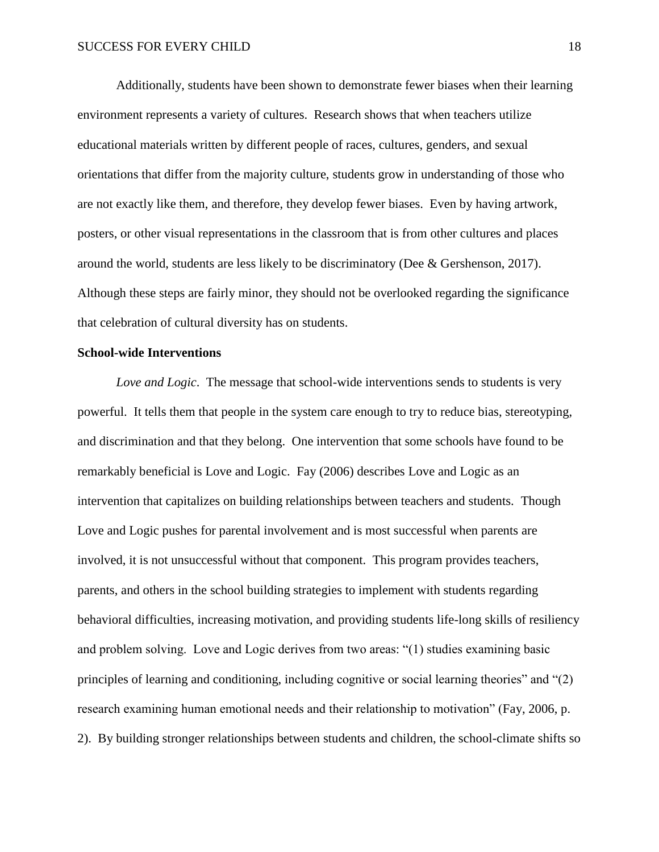Additionally, students have been shown to demonstrate fewer biases when their learning environment represents a variety of cultures. Research shows that when teachers utilize educational materials written by different people of races, cultures, genders, and sexual orientations that differ from the majority culture, students grow in understanding of those who are not exactly like them, and therefore, they develop fewer biases. Even by having artwork, posters, or other visual representations in the classroom that is from other cultures and places around the world, students are less likely to be discriminatory (Dee & Gershenson, 2017). Although these steps are fairly minor, they should not be overlooked regarding the significance that celebration of cultural diversity has on students.

# **School-wide Interventions**

*Love and Logic*. The message that school-wide interventions sends to students is very powerful. It tells them that people in the system care enough to try to reduce bias, stereotyping, and discrimination and that they belong. One intervention that some schools have found to be remarkably beneficial is Love and Logic. Fay (2006) describes Love and Logic as an intervention that capitalizes on building relationships between teachers and students. Though Love and Logic pushes for parental involvement and is most successful when parents are involved, it is not unsuccessful without that component. This program provides teachers, parents, and others in the school building strategies to implement with students regarding behavioral difficulties, increasing motivation, and providing students life-long skills of resiliency and problem solving. Love and Logic derives from two areas: "(1) studies examining basic principles of learning and conditioning, including cognitive or social learning theories" and "(2) research examining human emotional needs and their relationship to motivation" (Fay, 2006, p. 2). By building stronger relationships between students and children, the school-climate shifts so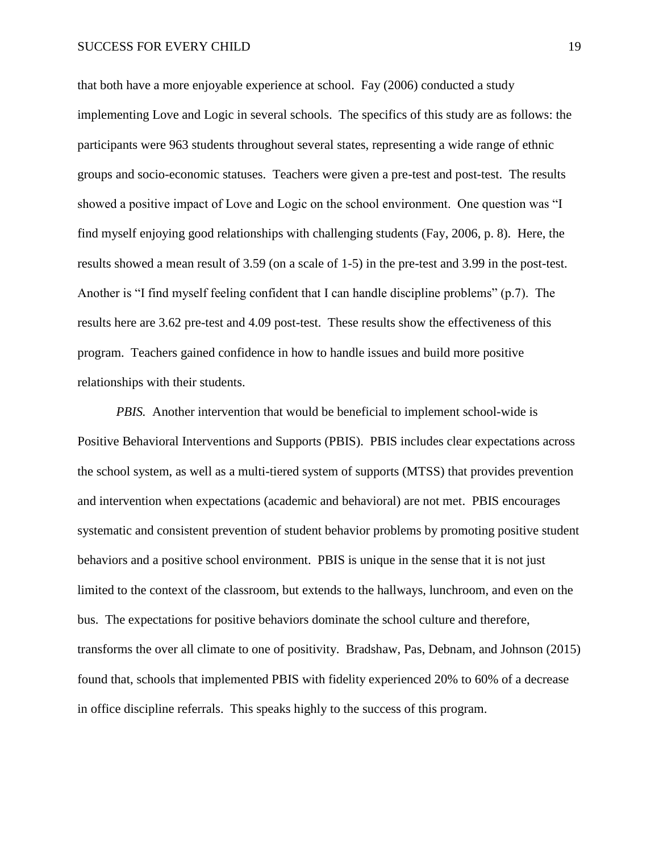that both have a more enjoyable experience at school. Fay (2006) conducted a study implementing Love and Logic in several schools. The specifics of this study are as follows: the participants were 963 students throughout several states, representing a wide range of ethnic groups and socio-economic statuses. Teachers were given a pre-test and post-test. The results showed a positive impact of Love and Logic on the school environment. One question was "I find myself enjoying good relationships with challenging students (Fay, 2006, p. 8). Here, the results showed a mean result of 3.59 (on a scale of 1-5) in the pre-test and 3.99 in the post-test. Another is "I find myself feeling confident that I can handle discipline problems" (p.7). The results here are 3.62 pre-test and 4.09 post-test. These results show the effectiveness of this program. Teachers gained confidence in how to handle issues and build more positive relationships with their students.

*PBIS.* Another intervention that would be beneficial to implement school-wide is Positive Behavioral Interventions and Supports (PBIS). PBIS includes clear expectations across the school system, as well as a multi-tiered system of supports (MTSS) that provides prevention and intervention when expectations (academic and behavioral) are not met. PBIS encourages systematic and consistent prevention of student behavior problems by promoting positive student behaviors and a positive school environment. PBIS is unique in the sense that it is not just limited to the context of the classroom, but extends to the hallways, lunchroom, and even on the bus. The expectations for positive behaviors dominate the school culture and therefore, transforms the over all climate to one of positivity. Bradshaw, Pas, Debnam, and Johnson (2015) found that, schools that implemented PBIS with fidelity experienced 20% to 60% of a decrease in office discipline referrals. This speaks highly to the success of this program.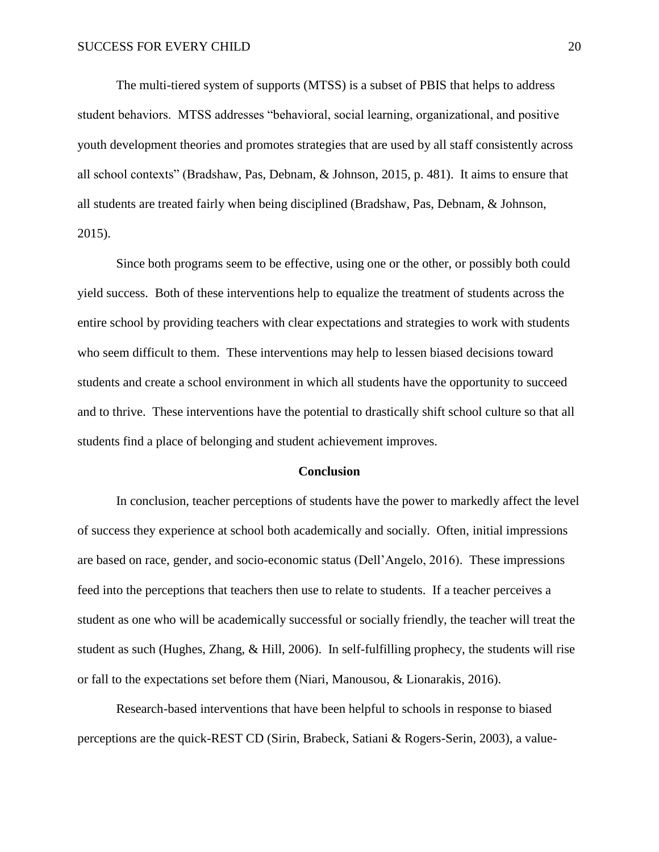The multi-tiered system of supports (MTSS) is a subset of PBIS that helps to address student behaviors. MTSS addresses "behavioral, social learning, organizational, and positive youth development theories and promotes strategies that are used by all staff consistently across all school contexts" (Bradshaw, Pas, Debnam, & Johnson, 2015, p. 481). It aims to ensure that all students are treated fairly when being disciplined (Bradshaw, Pas, Debnam, & Johnson, 2015).

Since both programs seem to be effective, using one or the other, or possibly both could yield success. Both of these interventions help to equalize the treatment of students across the entire school by providing teachers with clear expectations and strategies to work with students who seem difficult to them. These interventions may help to lessen biased decisions toward students and create a school environment in which all students have the opportunity to succeed and to thrive. These interventions have the potential to drastically shift school culture so that all students find a place of belonging and student achievement improves.

#### **Conclusion**

In conclusion, teacher perceptions of students have the power to markedly affect the level of success they experience at school both academically and socially. Often, initial impressions are based on race, gender, and socio-economic status (Dell'Angelo, 2016). These impressions feed into the perceptions that teachers then use to relate to students. If a teacher perceives a student as one who will be academically successful or socially friendly, the teacher will treat the student as such (Hughes, Zhang, & Hill, 2006). In self-fulfilling prophecy, the students will rise or fall to the expectations set before them (Niari, Manousou, & Lionarakis, 2016).

Research-based interventions that have been helpful to schools in response to biased perceptions are the quick-REST CD (Sirin, Brabeck, Satiani & Rogers-Serin, 2003), a value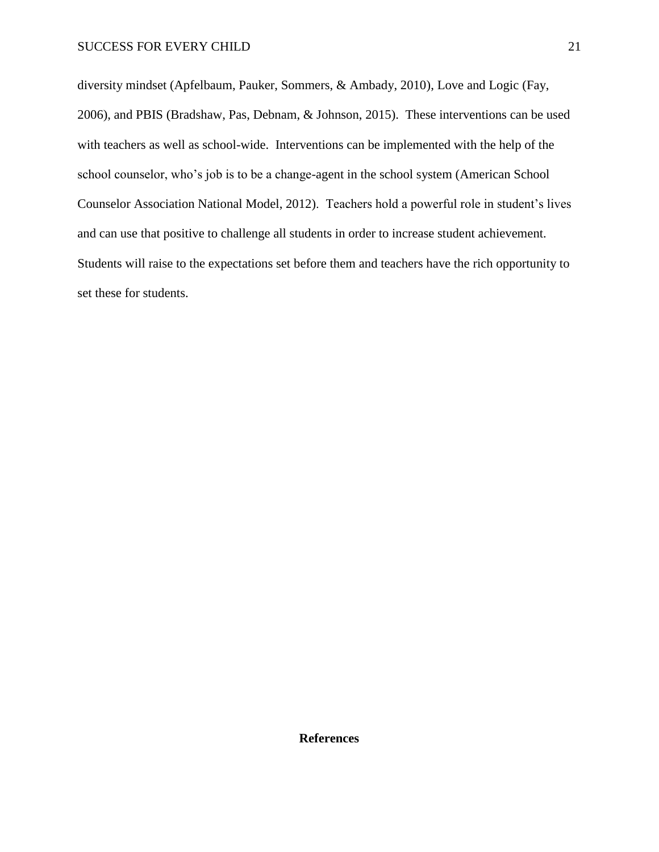diversity mindset (Apfelbaum, Pauker, Sommers, & Ambady, 2010), Love and Logic (Fay, 2006), and PBIS (Bradshaw, Pas, Debnam, & Johnson, 2015). These interventions can be used with teachers as well as school-wide. Interventions can be implemented with the help of the school counselor, who's job is to be a change-agent in the school system (American School Counselor Association National Model, 2012). Teachers hold a powerful role in student's lives and can use that positive to challenge all students in order to increase student achievement. Students will raise to the expectations set before them and teachers have the rich opportunity to set these for students.

**References**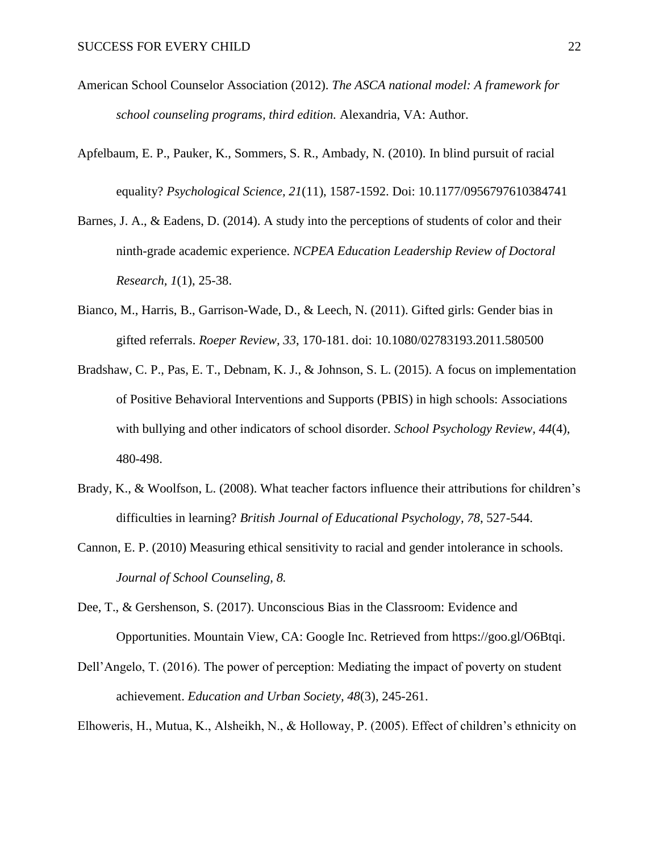- American School Counselor Association (2012). *The ASCA national model: A framework for school counseling programs, third edition.* Alexandria, VA: Author.
- Apfelbaum, E. P., Pauker, K., Sommers, S. R., Ambady, N. (2010). In blind pursuit of racial equality? *Psychological Science, 21*(11), 1587-1592. Doi: 10.1177/0956797610384741
- Barnes, J. A., & Eadens, D. (2014). A study into the perceptions of students of color and their ninth-grade academic experience. *NCPEA Education Leadership Review of Doctoral Research, 1*(1), 25-38.
- Bianco, M., Harris, B., Garrison-Wade, D., & Leech, N. (2011). Gifted girls: Gender bias in gifted referrals. *Roeper Review, 33*, 170-181. doi: 10.1080/02783193.2011.580500
- Bradshaw, C. P., Pas, E. T., Debnam, K. J., & Johnson, S. L. (2015). A focus on implementation of Positive Behavioral Interventions and Supports (PBIS) in high schools: Associations with bullying and other indicators of school disorder. *School Psychology Review, 44*(4)*,* 480-498.
- Brady, K., & Woolfson, L. (2008). What teacher factors influence their attributions for children's difficulties in learning? *British Journal of Educational Psychology, 78*, 527-544.
- Cannon, E. P. (2010) Measuring ethical sensitivity to racial and gender intolerance in schools. *Journal of School Counseling, 8.*
- Dee, T., & Gershenson, S. (2017). Unconscious Bias in the Classroom: Evidence and Opportunities. Mountain View, CA: Google Inc. Retrieved from https://goo.gl/O6Btqi.
- Dell'Angelo, T. (2016). The power of perception: Mediating the impact of poverty on student achievement. *Education and Urban Society, 48*(3), 245-261.

Elhoweris, H., Mutua, K., Alsheikh, N., & Holloway, P. (2005). Effect of children's ethnicity on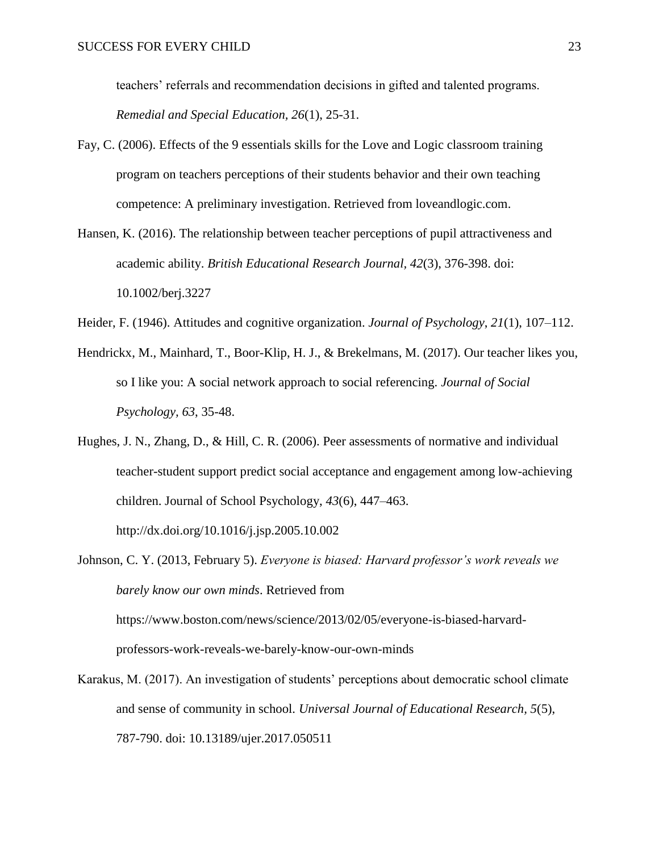teachers' referrals and recommendation decisions in gifted and talented programs. *Remedial and Special Education, 26*(1), 25-31.

- Fay, C. (2006). Effects of the 9 essentials skills for the Love and Logic classroom training program on teachers perceptions of their students behavior and their own teaching competence: A preliminary investigation. Retrieved from loveandlogic.com.
- Hansen, K. (2016). The relationship between teacher perceptions of pupil attractiveness and academic ability. *British Educational Research Journal, 42*(3), 376-398. doi: 10.1002/berj.3227
- Heider, F. (1946). Attitudes and cognitive organization. *Journal of Psychology*, *21*(1), 107–112.
- Hendrickx, M., Mainhard, T., Boor-Klip, H. J., & Brekelmans, M. (2017). Our teacher likes you, so I like you: A social network approach to social referencing. *Journal of Social Psychology, 63*, 35-48.
- Hughes, J. N., Zhang, D., & Hill, C. R. (2006). Peer assessments of normative and individual teacher-student support predict social acceptance and engagement among low-achieving children. Journal of School Psychology, *43*(6), 447–463.

Johnson, C. Y. (2013, February 5). *Everyone is biased: Harvard professor's work reveals we barely know our own minds*. Retrieved from https://www.boston.com/news/science/2013/02/05/everyone-is-biased-harvard-

professors-work-reveals-we-barely-know-our-own-minds

<http://dx.doi.org/10.1016/j.jsp.2005.10.002>

Karakus, M. (2017). An investigation of students' perceptions about democratic school climate and sense of community in school. *Universal Journal of Educational Research, 5*(5), 787-790. doi: 10.13189/ujer.2017.050511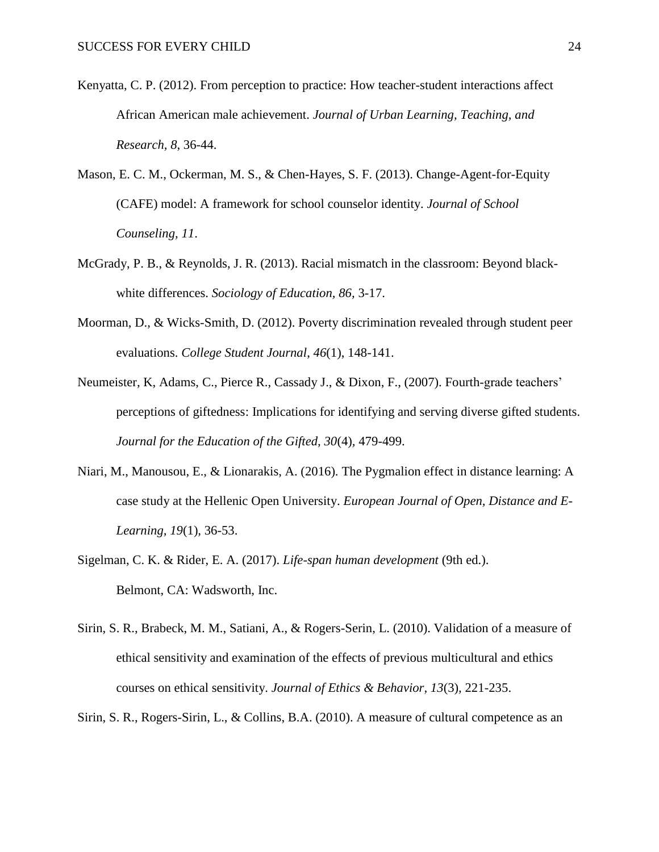- Kenyatta, C. P. (2012). From perception to practice: How teacher-student interactions affect African American male achievement. *Journal of Urban Learning, Teaching, and Research, 8*, 36-44.
- Mason, E. C. M., Ockerman, M. S., & Chen-Hayes, S. F. (2013). Change-Agent-for-Equity (CAFE) model: A framework for school counselor identity. *Journal of School Counseling, 11*.
- McGrady, P. B., & Reynolds, J. R. (2013). Racial mismatch in the classroom: Beyond blackwhite differences. *Sociology of Education, 86,* 3-17.
- Moorman, D., & Wicks-Smith, D. (2012). Poverty discrimination revealed through student peer evaluations. *College Student Journal*, *46*(1), 148-141.
- Neumeister, K, Adams, C., Pierce R., Cassady J., & Dixon, F., (2007). Fourth-grade teachers' perceptions of giftedness: Implications for identifying and serving diverse gifted students. *Journal for the Education of the Gifted, 30*(4)*,* 479-499.
- Niari, M., Manousou, E., & Lionarakis, A. (2016). The Pygmalion effect in distance learning: A case study at the Hellenic Open University. *European Journal of Open, Distance and E-Learning, 19*(1)*,* 36-53.
- Sigelman, C. K. & Rider, E. A. (2017). *Life-span human development* (9th ed.). Belmont, CA: Wadsworth, Inc.
- Sirin, S. R., Brabeck, M. M., Satiani, A., & Rogers-Serin, L. (2010). Validation of a measure of ethical sensitivity and examination of the effects of previous multicultural and ethics courses on ethical sensitivity. *Journal of Ethics & Behavior, 13*(3)*,* 221-235.
- Sirin, S. R., Rogers-Sirin, L., & Collins, B.A. (2010). A measure of cultural competence as an